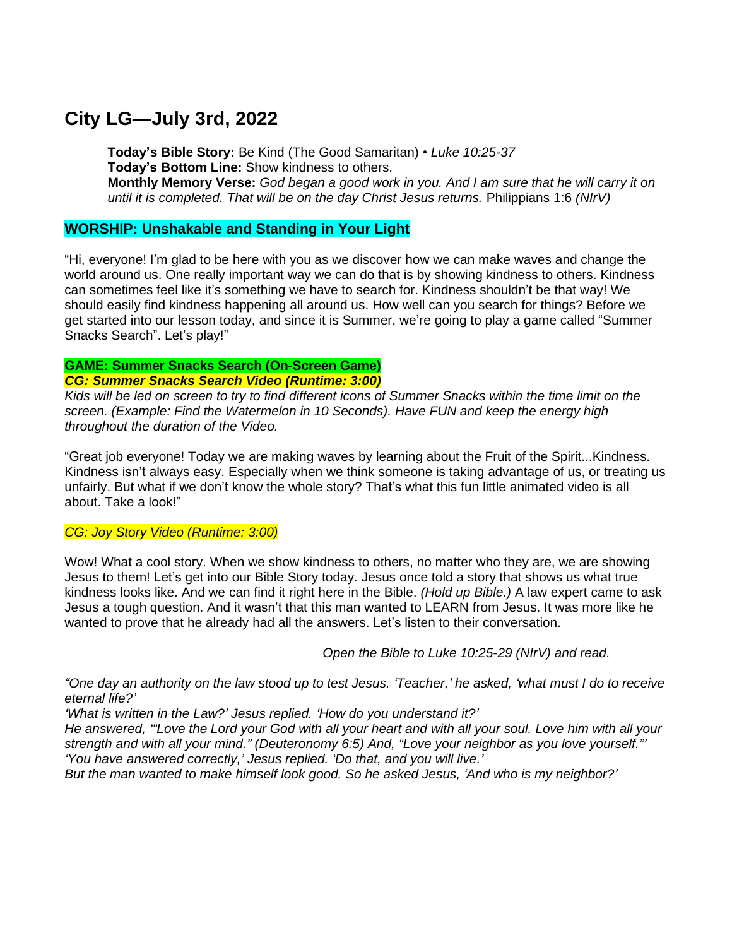# **City LG—July 3rd, 2022**

**Today's Bible Story:** Be Kind (The Good Samaritan) • *Luke 10:25-37* **Today's Bottom Line:** Show kindness to others. Monthly Memory Verse: God began a good work in you. And I am sure that he will carry it on *until it is completed. That will be on the day Christ Jesus returns.* Philippians 1:6 *(NIrV)*

## **WORSHIP: Unshakable and Standing in Your Light**

"Hi, everyone! I'm glad to be here with you as we discover how we can make waves and change the world around us. One really important way we can do that is by showing kindness to others. Kindness can sometimes feel like it's something we have to search for. Kindness shouldn't be that way! We should easily find kindness happening all around us. How well can you search for things? Before we get started into our lesson today, and since it is Summer, we're going to play a game called "Summer Snacks Search". Let's play!"

#### **GAME: Summer Snacks Search (On-Screen Game)** *CG: Summer Snacks Search Video (Runtime: 3:00)*

Kids will be led on screen to try to find different icons of Summer Snacks within the time limit on the *screen. (Example: Find the Watermelon in 10 Seconds). Have FUN and keep the energy high throughout the duration of the Video.*

"Great job everyone! Today we are making waves by learning about the Fruit of the Spirit...Kindness. Kindness isn't always easy. Especially when we think someone is taking advantage of us, or treating us unfairly. But what if we don't know the whole story? That's what this fun little animated video is all about. Take a look!"

## *CG: Joy Story Video (Runtime: 3:00)*

Wow! What a cool story. When we show kindness to others, no matter who they are, we are showing Jesus to them! Let's get into our Bible Story today. Jesus once told a story that shows us what true kindness looks like. And we can find it right here in the Bible. *(Hold up Bible.)* A law expert came to ask Jesus a tough question. And it wasn't that this man wanted to LEARN from Jesus. It was more like he wanted to prove that he already had all the answers. Let's listen to their conversation.

*Open the Bible to Luke 10:25-29 (NIrV) and read.*

"One day an authority on the law stood up to test Jesus. 'Teacher,' he asked, 'what must I do to receive *eternal life?'*

*'What is written in the Law?' Jesus replied. 'How do you understand it?'*

He answered, "Love the Lord your God with all your heart and with all your soul. Love him with all your *strength and with all your mind." (Deuteronomy 6:5) And, "Love your neighbor as you love yourself."' 'You have answered correctly,' Jesus replied. 'Do that, and you will live.'*

*But the man wanted to make himself look good. So he asked Jesus, 'And who is my neighbor?'*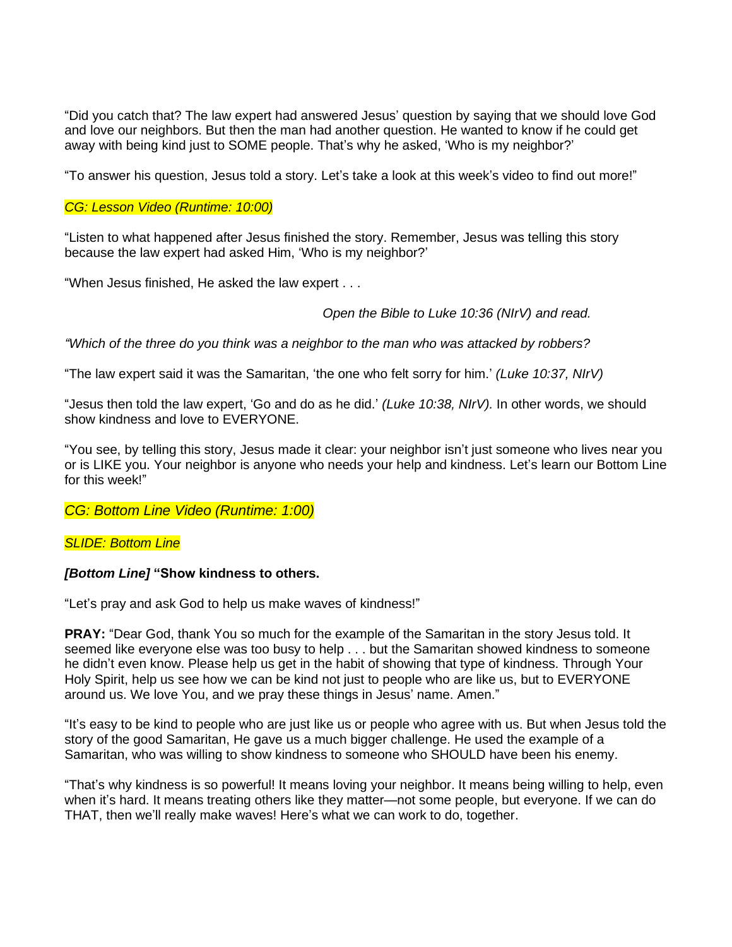"Did you catch that? The law expert had answered Jesus' question by saying that we should love God and love our neighbors. But then the man had another question. He wanted to know if he could get away with being kind just to SOME people. That's why he asked, 'Who is my neighbor?'

"To answer his question, Jesus told a story. Let's take a look at this week's video to find out more!"

### *CG: Lesson Video (Runtime: 10:00)*

"Listen to what happened after Jesus finished the story. Remember, Jesus was telling this story because the law expert had asked Him, 'Who is my neighbor?'

"When Jesus finished, He asked the law expert . . .

#### *Open the Bible to Luke 10:36 (NIrV) and read.*

*"Which of the three do you think was a neighbor to the man who was attacked by robbers?*

"The law expert said it was the Samaritan, 'the one who felt sorry for him.' *(Luke 10:37, NIrV)*

"Jesus then told the law expert, 'Go and do as he did.' *(Luke 10:38, NIrV).* In other words, we should show kindness and love to EVERYONE.

"You see, by telling this story, Jesus made it clear: your neighbor isn't just someone who lives near you or is LIKE you. Your neighbor is anyone who needs your help and kindness. Let's learn our Bottom Line for this week!"

## *CG: Bottom Line Video (Runtime: 1:00)*

#### *SLIDE: Bottom Line*

#### *[Bottom Line]* **"Show kindness to others.**

"Let's pray and ask God to help us make waves of kindness!"

**PRAY:** "Dear God, thank You so much for the example of the Samaritan in the story Jesus told. It seemed like everyone else was too busy to help . . . but the Samaritan showed kindness to someone he didn't even know. Please help us get in the habit of showing that type of kindness. Through Your Holy Spirit, help us see how we can be kind not just to people who are like us, but to EVERYONE around us. We love You, and we pray these things in Jesus' name. Amen."

"It's easy to be kind to people who are just like us or people who agree with us. But when Jesus told the story of the good Samaritan, He gave us a much bigger challenge. He used the example of a Samaritan, who was willing to show kindness to someone who SHOULD have been his enemy.

"That's why kindness is so powerful! It means loving your neighbor. It means being willing to help, even when it's hard. It means treating others like they matter—not some people, but everyone. If we can do THAT, then we'll really make waves! Here's what we can work to do, together.